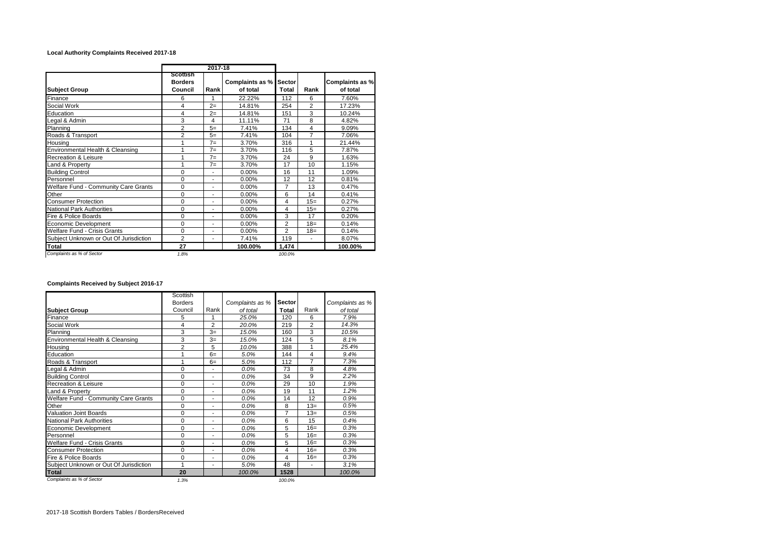## **Local Authority Complaints Received 2017-18**

|                                        |                                       | 2017-18                  |                             |                 |                          |                             |  |
|----------------------------------------|---------------------------------------|--------------------------|-----------------------------|-----------------|--------------------------|-----------------------------|--|
| <b>Subject Group</b>                   | Scottish<br><b>Borders</b><br>Council | Rank                     | Complaints as %<br>of total | Sector<br>Total | Rank                     | Complaints as %<br>of total |  |
| Finance                                | 6                                     | 1                        | 22.22%                      | 112             | 6                        | 7.60%                       |  |
| Social Work                            | 4                                     | $2=$                     | 14.81%                      | 254             | $\overline{2}$           | 17.23%                      |  |
| Education                              | 4                                     | $2=$                     | 14.81%                      | 151             | 3                        | 10.24%                      |  |
| Legal & Admin                          | 3                                     | 4                        | 11.11%                      | 71              | 8                        | 4.82%                       |  |
| Planning                               | $\overline{2}$                        | $5=$                     | 7.41%                       | 134             | 4                        | 9.09%                       |  |
| Roads & Transport                      | $\overline{2}$                        | $5=$                     | 7.41%                       | 104             | $\overline{7}$           | 7.06%                       |  |
| Housing                                | 1                                     | $7 =$                    | 3.70%                       | 316             | 1                        | 21.44%                      |  |
| Environmental Health & Cleansing       | 1                                     | $7 =$                    | 3.70%                       | 116             | 5                        | 7.87%                       |  |
| <b>Recreation &amp; Leisure</b>        | 1                                     | $7 =$                    | 3.70%                       | 24              | 9                        | 1.63%                       |  |
| Land & Property                        | 1                                     | $7 =$                    | 3.70%                       | 17              | 10                       | 1.15%                       |  |
| <b>Building Control</b>                | $\mathbf 0$                           | $\blacksquare$           | 0.00%                       | 16              | 11                       | 1.09%                       |  |
| Personnel                              | $\Omega$                              | ٠                        | 0.00%                       | 12              | 12                       | 0.81%                       |  |
| Welfare Fund - Community Care Grants   | $\Omega$                              | ٠                        | 0.00%                       | 7               | 13                       | 0.47%                       |  |
| Other                                  | $\Omega$                              | ٠                        | 0.00%                       | 6               | 14                       | 0.41%                       |  |
| <b>Consumer Protection</b>             | $\Omega$                              | ٠                        | 0.00%                       | 4               | $15=$                    | 0.27%                       |  |
| <b>National Park Authorities</b>       | $\Omega$                              | ٠                        | 0.00%                       | 4               | $15=$                    | 0.27%                       |  |
| Fire & Police Boards                   | $\Omega$                              | ٠                        | 0.00%                       | 3               | 17                       | 0.20%                       |  |
| Economic Development                   | 0                                     | $\blacksquare$           | 0.00%                       | $\overline{c}$  | $18 =$                   | 0.14%                       |  |
| Welfare Fund - Crisis Grants           | $\Omega$                              | ٠                        | 0.00%                       | $\overline{c}$  | $18 =$                   | 0.14%                       |  |
| Subject Unknown or Out Of Jurisdiction | $\overline{2}$                        | $\overline{\phantom{a}}$ | 7.41%                       | 119             | $\overline{\phantom{a}}$ | 8.07%                       |  |
| Total                                  | 27                                    |                          | 100.00%                     | 1,474           |                          | 100.00%                     |  |
| Complaints as % of Sector              | 1.8%                                  |                          |                             | 100.0%          |                          |                             |  |

## **Complaints Received by Subject 2016-17**

|                                        | Scottish       |                          |                 |               |                          |                 |  |
|----------------------------------------|----------------|--------------------------|-----------------|---------------|--------------------------|-----------------|--|
|                                        | <b>Borders</b> |                          | Complaints as % | <b>Sector</b> |                          | Complaints as % |  |
| <b>Subject Group</b>                   | Council        | Rank                     | of total        | Total         | Rank                     | of total        |  |
| Finance                                | 5              | 1                        | 25.0%           |               | 6                        | 7.9%            |  |
| Social Work                            | 4              | $\overline{2}$           | 20.0%           | 219           | $\overline{2}$           | 14.3%           |  |
| Planning                               | 3              | $3=$                     | 15.0%           | 160           | 3                        | 10.5%           |  |
| Environmental Health & Cleansing       | 3              | $3=$                     | 15.0%           | 124           | 5                        | 8.1%            |  |
| Housing                                | $\overline{2}$ | 5                        | 10.0%           | 388           | 1                        | 25.4%           |  |
| Education                              | 1              | $6=$                     | 5.0%            | 144           | 4                        | 9.4%            |  |
| Roads & Transport                      |                | $6=$                     | 5.0%            | 112           | 7                        | 7.3%            |  |
| Legal & Admin                          | $\Omega$       | ٠                        | 0.0%            | 73            | 8                        | 4.8%            |  |
| <b>Building Control</b>                | $\Omega$       | ٠                        | 0.0%            | 34            | 9                        | 2.2%            |  |
| <b>Recreation &amp; Leisure</b>        | $\Omega$       | ٠                        | 0.0%            | 29            | 10                       | 1.9%            |  |
| Land & Property                        | $\Omega$       | ٠                        | 0.0%            | 19            | 11                       | 1.2%            |  |
| Welfare Fund - Community Care Grants   | $\Omega$       | ٠                        | 0.0%            | 14            | 12                       | 0.9%            |  |
| Other                                  | $\mathbf 0$    | ۰                        | 0.0%            | 8             | $13=$                    | 0.5%            |  |
| <b>Valuation Joint Boards</b>          | $\Omega$       | ٠                        | 0.0%            | 7             | $13=$                    | 0.5%            |  |
| <b>National Park Authorities</b>       | $\mathbf 0$    | ٠                        | 0.0%            | 6             | 15                       | 0.4%            |  |
| Economic Development                   | $\Omega$       | ٠                        | 0.0%            | 5             | $16=$                    | 0.3%            |  |
| Personnel                              | $\mathbf 0$    | ٠                        | 0.0%            | 5             | $16=$                    | 0.3%            |  |
| Welfare Fund - Crisis Grants           | $\Omega$       | ä,                       | 0.0%            | 5             | $16=$                    | 0.3%            |  |
| <b>Consumer Protection</b>             | $\Omega$       | ٠                        | 0.0%            | 4             | $16=$                    | 0.3%            |  |
| Fire & Police Boards                   | $\Omega$       | ٠                        | 0.0%            | 4             | $16=$                    | 0.3%            |  |
| Subject Unknown or Out Of Jurisdiction | 1              | $\overline{\phantom{a}}$ | 5.0%            | 48            | $\overline{\phantom{a}}$ | 3.1%            |  |
| <b>Total</b>                           | 20             |                          | 100.0%          | 1528          |                          | 100.0%          |  |
| Complaints as % of Sector              | 1.3%           |                          |                 | 100.0%        |                          |                 |  |